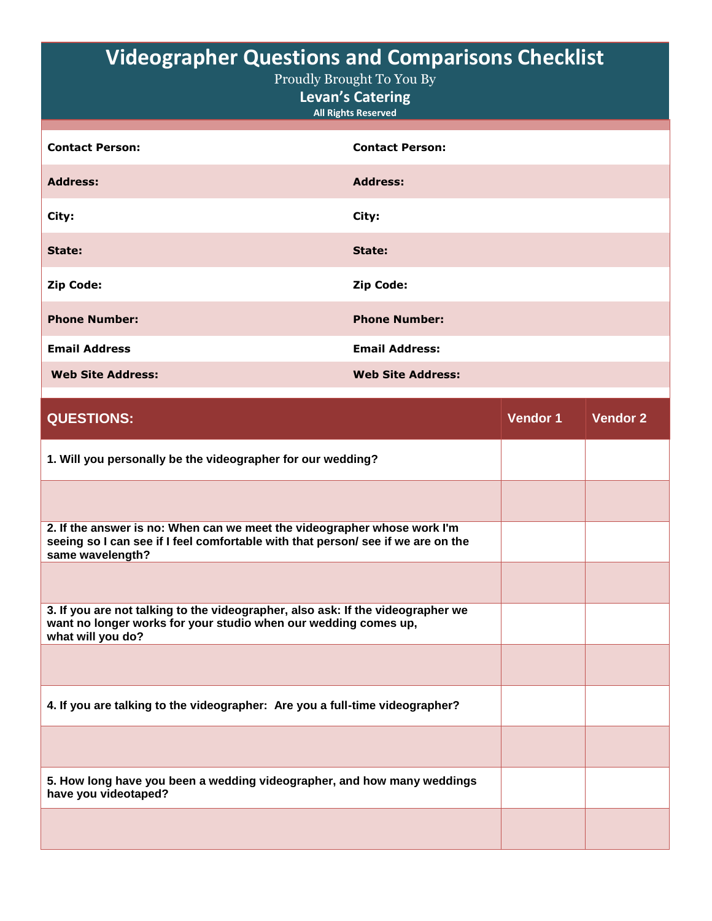| <b>Videographer Questions and Comparisons Checklist</b><br>Proudly Brought To You By<br><b>Levan's Catering</b><br><b>All Rights Reserved</b> |                          |  |
|-----------------------------------------------------------------------------------------------------------------------------------------------|--------------------------|--|
| <b>Contact Person:</b>                                                                                                                        | <b>Contact Person:</b>   |  |
| <b>Address:</b>                                                                                                                               | <b>Address:</b>          |  |
| City:                                                                                                                                         | City:                    |  |
| State:                                                                                                                                        | State:                   |  |
| <b>Zip Code:</b>                                                                                                                              | <b>Zip Code:</b>         |  |
| <b>Phone Number:</b>                                                                                                                          | <b>Phone Number:</b>     |  |
| <b>Email Address</b>                                                                                                                          | <b>Email Address:</b>    |  |
| <b>Web Site Address:</b>                                                                                                                      | <b>Web Site Address:</b> |  |

| <b>QUESTIONS:</b>                                                                                                                                                                | <b>Vendor 1</b> | <b>Vendor 2</b> |
|----------------------------------------------------------------------------------------------------------------------------------------------------------------------------------|-----------------|-----------------|
| 1. Will you personally be the videographer for our wedding?                                                                                                                      |                 |                 |
|                                                                                                                                                                                  |                 |                 |
| 2. If the answer is no: When can we meet the videographer whose work I'm<br>seeing so I can see if I feel comfortable with that person/ see if we are on the<br>same wavelength? |                 |                 |
|                                                                                                                                                                                  |                 |                 |
| 3. If you are not talking to the videographer, also ask: If the videographer we<br>want no longer works for your studio when our wedding comes up,<br>what will you do?          |                 |                 |
|                                                                                                                                                                                  |                 |                 |
| 4. If you are talking to the videographer: Are you a full-time videographer?                                                                                                     |                 |                 |
|                                                                                                                                                                                  |                 |                 |
| 5. How long have you been a wedding videographer, and how many weddings<br>have you videotaped?                                                                                  |                 |                 |
|                                                                                                                                                                                  |                 |                 |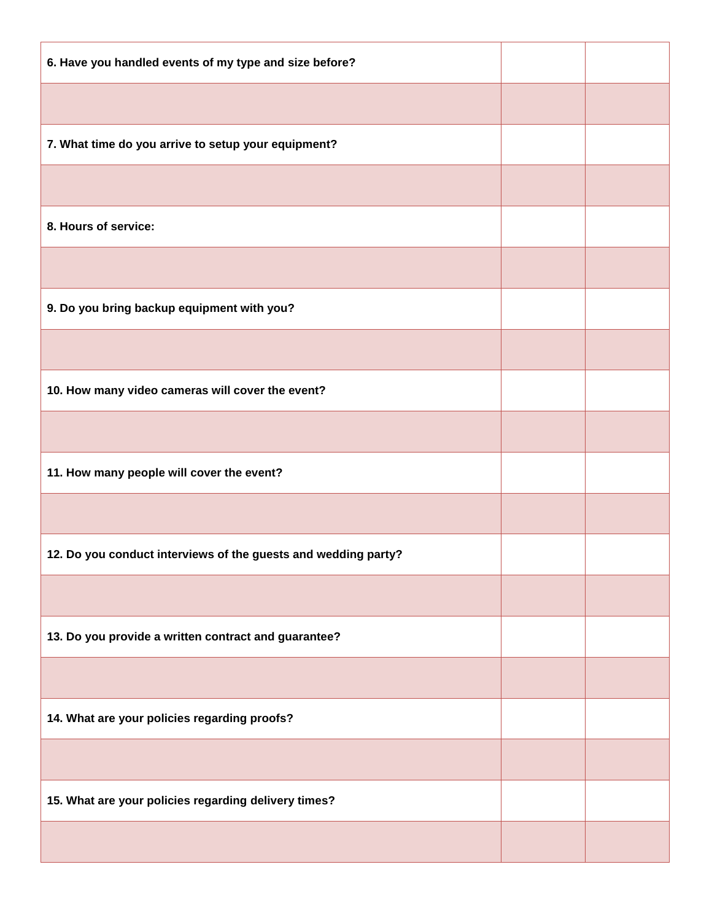| 6. Have you handled events of my type and size before?         |  |
|----------------------------------------------------------------|--|
|                                                                |  |
| 7. What time do you arrive to setup your equipment?            |  |
|                                                                |  |
| 8. Hours of service:                                           |  |
|                                                                |  |
| 9. Do you bring backup equipment with you?                     |  |
|                                                                |  |
| 10. How many video cameras will cover the event?               |  |
|                                                                |  |
| 11. How many people will cover the event?                      |  |
|                                                                |  |
| 12. Do you conduct interviews of the guests and wedding party? |  |
|                                                                |  |
| 13. Do you provide a written contract and guarantee?           |  |
|                                                                |  |
| 14. What are your policies regarding proofs?                   |  |
|                                                                |  |
| 15. What are your policies regarding delivery times?           |  |
|                                                                |  |